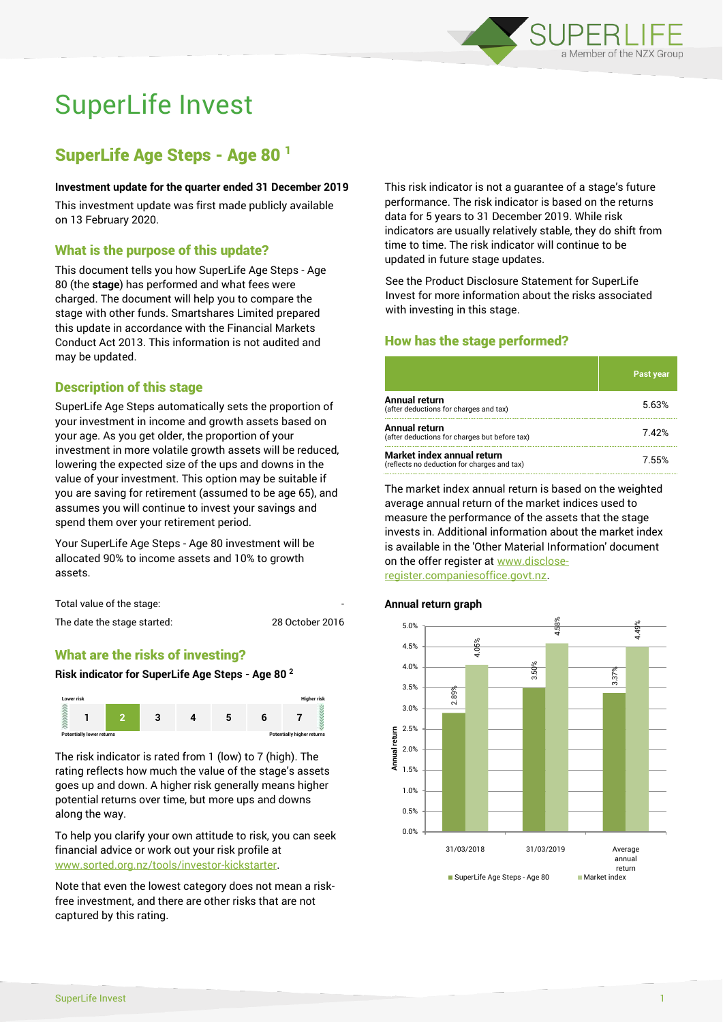

# SuperLife Invest

# SuperLife Age Steps - Age 80 <sup>1</sup>

#### **Investment update for the quarter ended 31 December 2019**

This investment update was first made publicly available on 13 February 2020.

# What is the purpose of this update?

This document tells you how SuperLife Age Steps - Age 80 (the **stage**) has performed and what fees were charged. The document will help you to compare the stage with other funds. Smartshares Limited prepared this update in accordance with the Financial Markets Conduct Act 2013. This information is not audited and may be updated.

# Description of this stage

SuperLife Age Steps automatically sets the proportion of your investment in income and growth assets based on your age. As you get older, the proportion of your investment in more volatile growth assets will be reduced, lowering the expected size of the ups and downs in the value of your investment. This option may be suitable if you are saving for retirement (assumed to be age 65), and assumes you will continue to invest your savings and spend them over your retirement period.

Your SuperLife Age Steps - Age 80 investment will be allocated 90% to income assets and 10% to growth assets.

Total value of the stage:

The date the stage started: 28 October 2016

# What are the risks of investing?

#### **Risk indicator for SuperLife Age Steps - Age 80 <sup>2</sup>**



The risk indicator is rated from 1 (low) to 7 (high). The rating reflects how much the value of the stage's assets goes up and down. A higher risk generally means higher potential returns over time, but more ups and downs along the way.

To help you clarify your own attitude to risk, you can seek financial advice or work out your risk profile at [www.sorted.org.nz/tools/investor-kickstarter.](http://www.sorted.org.nz/tools/investor-kickstarter)

Note that even the lowest category does not mean a riskfree investment, and there are other risks that are not captured by this rating.

This risk indicator is not a guarantee of a stage's future performance. The risk indicator is based on the returns data for 5 years to 31 December 2019. While risk indicators are usually relatively stable, they do shift from time to time. The risk indicator will continue to be updated in future stage updates.

See the Product Disclosure Statement for SuperLife Invest for more information about the risks associated with investing in this stage.

# How has the stage performed?

|                                                                           | <b>Past year</b> |
|---------------------------------------------------------------------------|------------------|
| Annual return<br>(after deductions for charges and tax)                   | 5.63%            |
| Annual return<br>(after deductions for charges but before tax)            | 742%             |
| Market index annual return<br>(reflects no deduction for charges and tax) | 7.55%            |

The market index annual return is based on the weighted average annual return of the market indices used to measure the performance of the assets that the stage invests in. Additional information about the market index is available in the 'Other Material Information' document on the offer register at www.discloseregister.companiesoffice.govt.nz.

#### **Annual return graph**

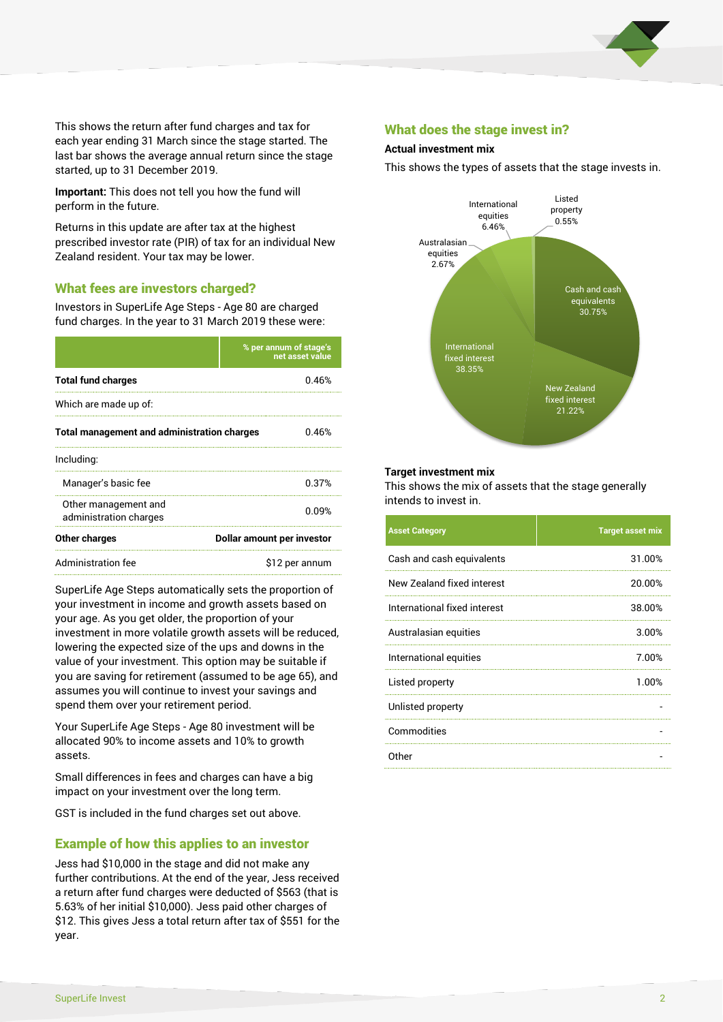

This shows the return after fund charges and tax for each year ending 31 March since the stage started. The last bar shows the average annual return since the stage started, up to 31 December 2019.

**Important:** This does not tell you how the fund will perform in the future.

Returns in this update are after tax at the highest prescribed investor rate (PIR) of tax for an individual New Zealand resident. Your tax may be lower.

# What fees are investors charged?

Investors in SuperLife Age Steps - Age 80 are charged fund charges. In the year to 31 March 2019 these were:

|                                                    | % per annum of stage's<br>net asset value |  |
|----------------------------------------------------|-------------------------------------------|--|
| <b>Total fund charges</b>                          | 0.46%                                     |  |
| Which are made up of:                              |                                           |  |
| <b>Total management and administration charges</b> | በ 46%                                     |  |
| Including:                                         |                                           |  |
| Manager's basic fee                                | 0.37%                                     |  |
| Other management and<br>administration charges     | 0.09%                                     |  |
| Other charges                                      | Dollar amount per investor                |  |
| Administration fee                                 | \$12 per annum                            |  |

SuperLife Age Steps automatically sets the proportion of your investment in income and growth assets based on your age. As you get older, the proportion of your investment in more volatile growth assets will be reduced, lowering the expected size of the ups and downs in the value of your investment. This option may be suitable if you are saving for retirement (assumed to be age 65), and assumes you will continue to invest your savings and spend them over your retirement period.

Your SuperLife Age Steps - Age 80 investment will be allocated 90% to income assets and 10% to growth assets.

Small differences in fees and charges can have a big impact on your investment over the long term.

GST is included in the fund charges set out above.

# Example of how this applies to an investor

Jess had \$10,000 in the stage and did not make any further contributions. At the end of the year, Jess received a return after fund charges were deducted of \$563 (that is 5.63% of her initial \$10,000). Jess paid other charges of \$12. This gives Jess a total return after tax of \$551 for the year.

# What does the stage invest in?

#### **Actual investment mix**

This shows the types of assets that the stage invests in.



#### **Target investment mix**

This shows the mix of assets that the stage generally intends to invest in.

| <b>Asset Category</b>        | <b>Target asset mix</b> |
|------------------------------|-------------------------|
| Cash and cash equivalents    | 31.00%                  |
| New Zealand fixed interest   | 20.00%                  |
| International fixed interest | 38.00%                  |
| Australasian equities        | 3.00%                   |
| International equities       | 7.00%                   |
| Listed property              | 1.00%                   |
| Unlisted property            |                         |
| Commodities                  |                         |
| 0ther                        |                         |